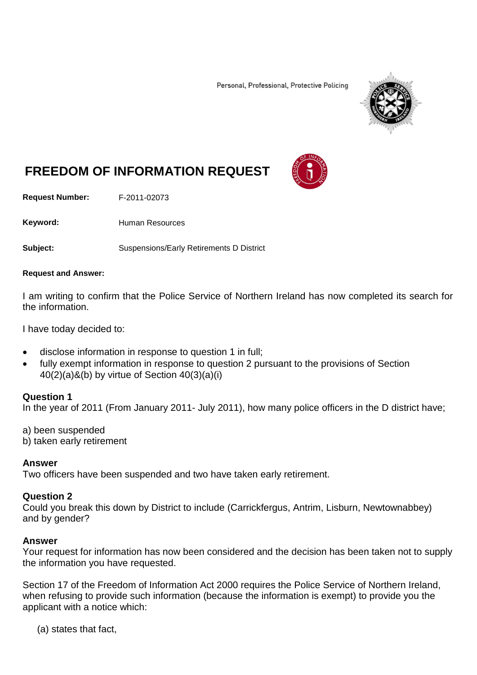Personal, Professional, Protective Policing



# **FREEDOM OF INFORMATION REQUEST**

**Request Number:** F-2011-02073

Keyword: Human Resources

**Subject:** Suspensions/Early Retirements D District

#### **Request and Answer:**

I am writing to confirm that the Police Service of Northern Ireland has now completed its search for the information.

I have today decided to:

- disclose information in response to question 1 in full;
- fully exempt information in response to question 2 pursuant to the provisions of Section 40(2)(a)&(b) by virtue of Section 40(3)(a)(i)

### **Question 1**

In the year of 2011 (From January 2011- July 2011), how many police officers in the D district have;

- a) been suspended
- b) taken early retirement

## **Answer**

Two officers have been suspended and two have taken early retirement.

### **Question 2**

Could you break this down by District to include (Carrickfergus, Antrim, Lisburn, Newtownabbey) and by gender?

## **Answer**

Your request for information has now been considered and the decision has been taken not to supply the information you have requested.

Section 17 of the Freedom of Information Act 2000 requires the Police Service of Northern Ireland, when refusing to provide such information (because the information is exempt) to provide you the applicant with a notice which:

(a) states that fact,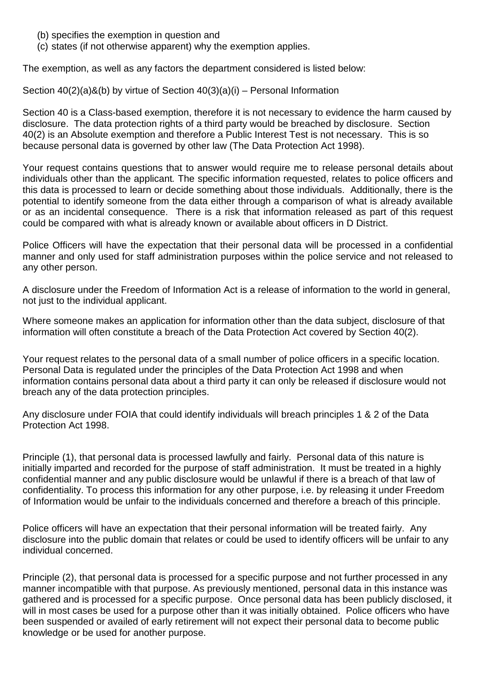- (b) specifies the exemption in question and
- (c) states (if not otherwise apparent) why the exemption applies.

The exemption, as well as any factors the department considered is listed below:

Section 40(2)(a)&(b) by virtue of Section 40(3)(a)(i) – Personal Information

Section 40 is a Class-based exemption, therefore it is not necessary to evidence the harm caused by disclosure. The data protection rights of a third party would be breached by disclosure. Section 40(2) is an Absolute exemption and therefore a Public Interest Test is not necessary. This is so because personal data is governed by other law (The Data Protection Act 1998).

Your request contains questions that to answer would require me to release personal details about individuals other than the applicant*.* The specific information requested, relates to police officers and this data is processed to learn or decide something about those individuals. Additionally, there is the potential to identify someone from the data either through a comparison of what is already available or as an incidental consequence. There is a risk that information released as part of this request could be compared with what is already known or available about officers in D District.

Police Officers will have the expectation that their personal data will be processed in a confidential manner and only used for staff administration purposes within the police service and not released to any other person.

A disclosure under the Freedom of Information Act is a release of information to the world in general, not just to the individual applicant.

Where someone makes an application for information other than the data subject, disclosure of that information will often constitute a breach of the Data Protection Act covered by Section 40(2).

Your request relates to the personal data of a small number of police officers in a specific location. Personal Data is regulated under the principles of the Data Protection Act 1998 and when information contains personal data about a third party it can only be released if disclosure would not breach any of the data protection principles.

Any disclosure under FOIA that could identify individuals will breach principles 1 & 2 of the Data Protection Act 1998.

Principle (1), that personal data is processed lawfully and fairly. Personal data of this nature is initially imparted and recorded for the purpose of staff administration. It must be treated in a highly confidential manner and any public disclosure would be unlawful if there is a breach of that law of confidentiality. To process this information for any other purpose, i.e. by releasing it under Freedom of Information would be unfair to the individuals concerned and therefore a breach of this principle.

Police officers will have an expectation that their personal information will be treated fairly. Any disclosure into the public domain that relates or could be used to identify officers will be unfair to any individual concerned.

Principle (2), that personal data is processed for a specific purpose and not further processed in any manner incompatible with that purpose. As previously mentioned, personal data in this instance was gathered and is processed for a specific purpose. Once personal data has been publicly disclosed, it will in most cases be used for a purpose other than it was initially obtained. Police officers who have been suspended or availed of early retirement will not expect their personal data to become public knowledge or be used for another purpose.